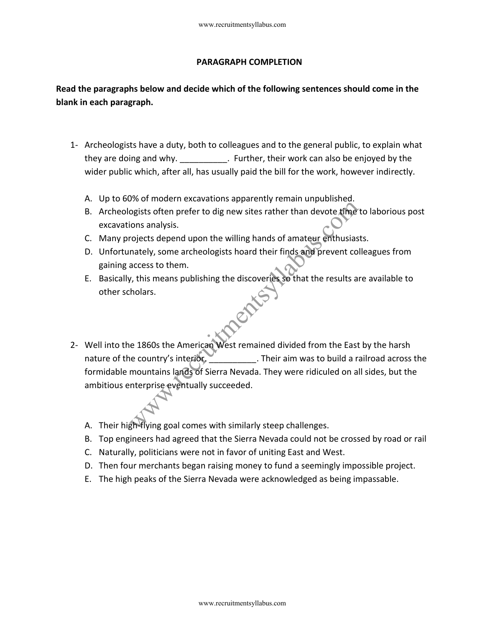## **PARAGRAPH COMPLETION**

## **Read the paragraphs below and decide which of the following sentences should come in the blank in each paragraph.**

- 1- Archeologists have a duty, both to colleagues and to the general public, to explain what they are doing and why.  $\qquad \qquad$  . Further, their work can also be enjoyed by the wider public which, after all, has usually paid the bill for the work, however indirectly.
	- A. Up to 60% of modern excavations apparently remain unpublished.
	- B. Archeologists often prefer to dig new sites rather than devote time to laborious post excavations analysis.
	- C. Many projects depend upon the willing hands of amateur enthusiasts.
	- D. Unfortunately, some archeologists hoard their finds and prevent colleagues from gaining access to them.
	- E. Basically, this means publishing the discoveries so that the results are available to other scholars.
- 2- Well into the 1860s the American West remained divided from the East by the harsh nature of the country's interior. Their aim was to build a railroad across the formidable mountains lands of Sierra Nevada. They were ridiculed on all sides, but the ambitious enterprise eventually succeeded. www.recruitmentsyllabus.com<br>
PARAGRAPH COMPLETION<br>
IS below and decide which of the following sentences shot<br>
straph.<br>
Its have a duty, both to colleagues and to the general public,<br>
ing and why.<br>
Stape a duty, both to col
	- A. Their high-flying goal comes with similarly steep challenges.
	- B. Top engineers had agreed that the Sierra Nevada could not be crossed by road or rail
	- C. Naturally, politicians were not in favor of uniting East and West.
	- D. Then four merchants began raising money to fund a seemingly impossible project.
	- E. The high peaks of the Sierra Nevada were acknowledged as being impassable.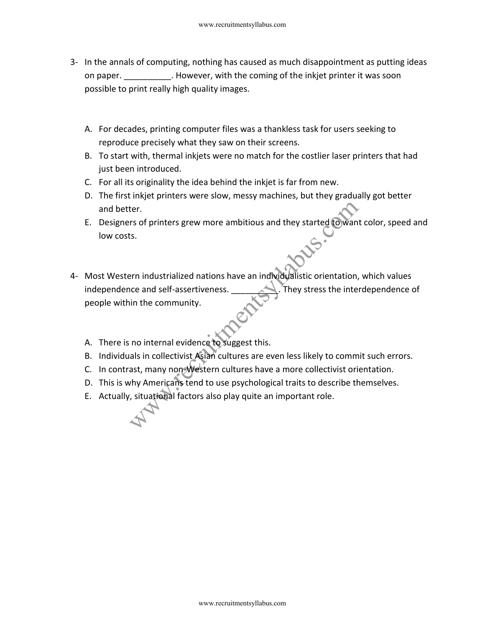- 3- In the annals of computing, nothing has caused as much disappointment as putting ideas on paper. **EXEC HOWEVER, with the coming of the inkjet printer it was soon** possible to print really high quality images.
	- A. For decades, printing computer files was a thankless task for users seeking to reproduce precisely what they saw on their screens.
	- B. To start with, thermal inkjets were no match for the costlier laser printers that had just been introduced.
	- C. For all its originality the idea behind the inkjet is far from new.
	- D. The first inkjet printers were slow, messy machines, but they gradually got better and better.
	- E. Designers of printers grew more ambitious and they started to want color, speed and low costs.
- 4- Most Western industrialized nations have an individualistic orientation, which values independence and self-assertiveness. They stress the interdependence of people within the community. www.recruitmentsyllabus.com<br>
Is of computing, nothing has caused as much disappointmen<br>
print really high quality images.<br>
Ades, printing computer files was a thankless task for users s<br>
ades, printing computer files was a
	- A. There is no internal evidence to suggest this.
	- B. Individuals in collectivist Asian cultures are even less likely to commit such errors.
	- C. In contrast, many non-Western cultures have a more collectivist orientation.
	- D. This is why Americans tend to use psychological traits to describe themselves.
	- E. Actually, situational factors also play quite an important role.